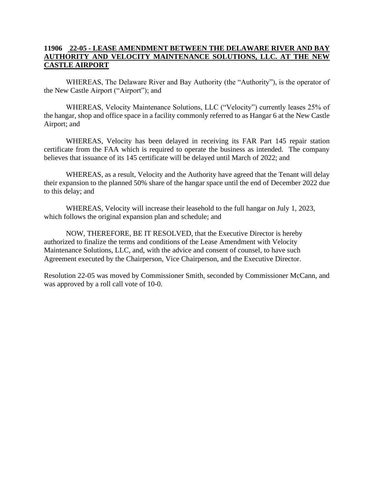## **11906 22-05 - LEASE AMENDMENT BETWEEN THE DELAWARE RIVER AND BAY AUTHORITY AND VELOCITY MAINTENANCE SOLUTIONS, LLC. AT THE NEW CASTLE AIRPORT**

WHEREAS, The Delaware River and Bay Authority (the "Authority"), is the operator of the New Castle Airport ("Airport"); and

WHEREAS, Velocity Maintenance Solutions, LLC ("Velocity") currently leases 25% of the hangar, shop and office space in a facility commonly referred to as Hangar 6 at the New Castle Airport; and

WHEREAS, Velocity has been delayed in receiving its FAR Part 145 repair station certificate from the FAA which is required to operate the business as intended. The company believes that issuance of its 145 certificate will be delayed until March of 2022; and

WHEREAS, as a result, Velocity and the Authority have agreed that the Tenant will delay their expansion to the planned 50% share of the hangar space until the end of December 2022 due to this delay; and

WHEREAS, Velocity will increase their leasehold to the full hangar on July 1, 2023, which follows the original expansion plan and schedule; and

NOW, THEREFORE, BE IT RESOLVED, that the Executive Director is hereby authorized to finalize the terms and conditions of the Lease Amendment with Velocity Maintenance Solutions, LLC, and, with the advice and consent of counsel, to have such Agreement executed by the Chairperson, Vice Chairperson, and the Executive Director.

Resolution 22-05 was moved by Commissioner Smith, seconded by Commissioner McCann, and was approved by a roll call vote of 10-0.